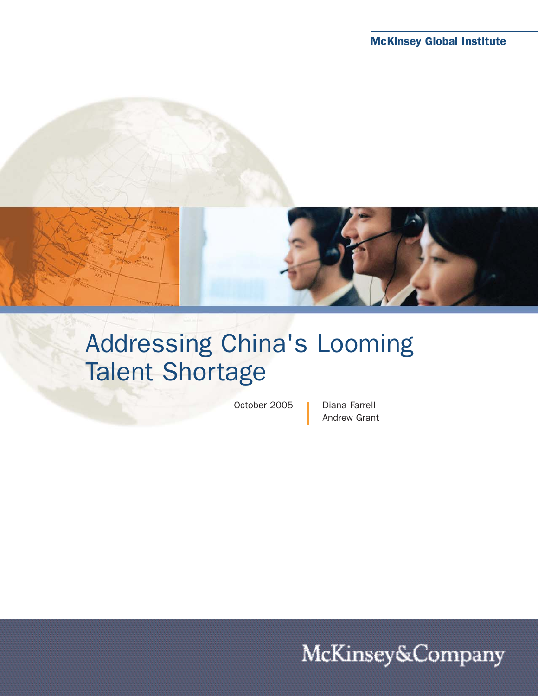

# Addressing China's Looming Talent Shortage

October 2005 | Diana Farrell

Andrew Grant

McKinsey&Company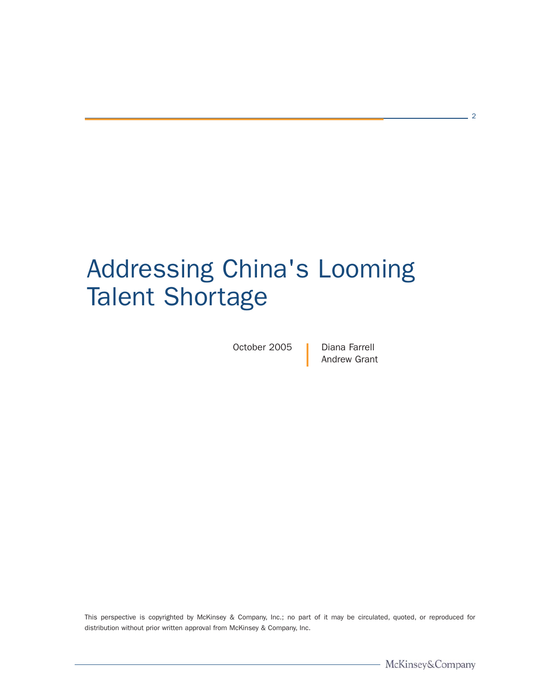# Addressing China's Looming Talent Shortage

October 2005 | Diana Farrell

Andrew Grant

This perspective is copyrighted by McKinsey & Company, Inc.; no part of it may be circulated, quoted, or reproduced for distribution without prior written approval from McKinsey & Company, Inc.

 $-2$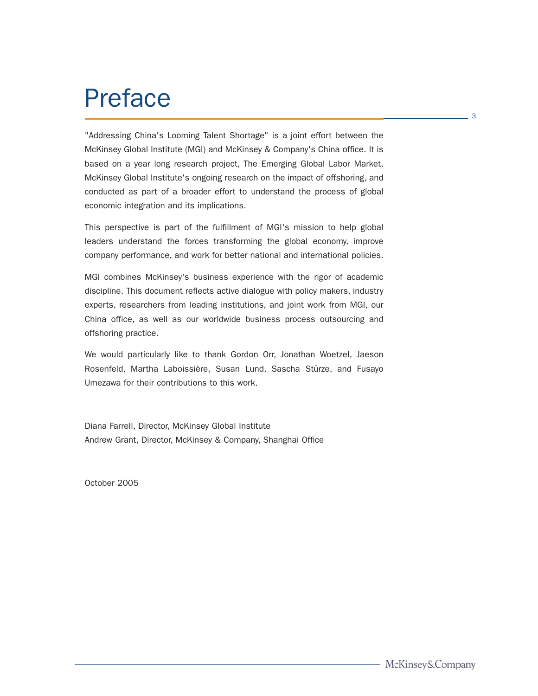### Preface

"Addressing China's Looming Talent Shortage" is a joint effort between the McKinsey Global Institute (MGI) and McKinsey & Company's China office. It is based on a year long research project, The Emerging Global Labor Market, McKinsey Global Institute's ongoing research on the impact of offshoring, and conducted as part of a broader effort to understand the process of global economic integration and its implications.

This perspective is part of the fulfillment of MGI's mission to help global leaders understand the forces transforming the global economy, improve company performance, and work for better national and international policies.

MGI combines McKinsey's business experience with the rigor of academic discipline. This document reflects active dialogue with policy makers, industry experts, researchers from leading institutions, and joint work from MGI, our China office, as well as our worldwide business process outsourcing and offshoring practice.

We would particularly like to thank Gordon Orr, Jonathan Woetzel, Jaeson Rosenfeld, Martha Laboissière, Susan Lund, Sascha Stürze, and Fusayo Umezawa for their contributions to this work.

Diana Farrell, Director, McKinsey Global Institute Andrew Grant, Director, McKinsey & Company, Shanghai Office

October 2005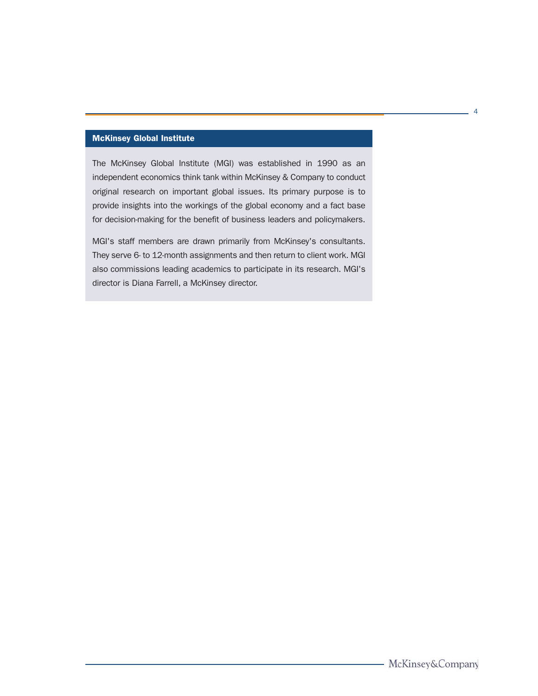#### McKinsey Global Institute

The McKinsey Global Institute (MGI) was established in 1990 as an independent economics think tank within McKinsey & Company to conduct original research on important global issues. Its primary purpose is to provide insights into the workings of the global economy and a fact base for decision-making for the benefit of business leaders and policymakers.

MGI's staff members are drawn primarily from McKinsey's consultants. They serve 6- to 12-month assignments and then return to client work. MGI also commissions leading academics to participate in its research. MGI's director is Diana Farrell, a McKinsey director.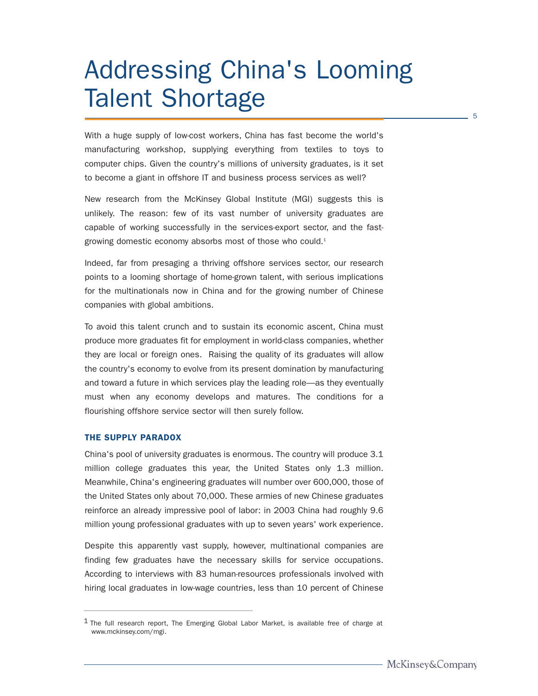# Addressing China's Looming Talent Shortage

With a huge supply of low-cost workers, China has fast become the world's manufacturing workshop, supplying everything from textiles to toys to computer chips. Given the country's millions of university graduates, is it set to become a giant in offshore IT and business process services as well?

New research from the McKinsey Global Institute (MGI) suggests this is unlikely. The reason: few of its vast number of university graduates are capable of working successfully in the services-export sector, and the fastgrowing domestic economy absorbs most of those who could.<sup>1</sup>

Indeed, far from presaging a thriving offshore services sector, our research points to a looming shortage of home-grown talent, with serious implications for the multinationals now in China and for the growing number of Chinese companies with global ambitions.

To avoid this talent crunch and to sustain its economic ascent, China must produce more graduates fit for employment in world-class companies, whether they are local or foreign ones. Raising the quality of its graduates will allow the country's economy to evolve from its present domination by manufacturing and toward a future in which services play the leading role—as they eventually must when any economy develops and matures. The conditions for a flourishing offshore service sector will then surely follow.

#### THE SUPPLY PARADOX

China's pool of university graduates is enormous. The country will produce 3.1 million college graduates this year, the United States only 1.3 million. Meanwhile, China's engineering graduates will number over 600,000, those of the United States only about 70,000. These armies of new Chinese graduates reinforce an already impressive pool of labor: in 2003 China had roughly 9.6 million young professional graduates with up to seven years' work experience.

Despite this apparently vast supply, however, multinational companies are finding few graduates have the necessary skills for service occupations. According to interviews with 83 human-resources professionals involved with hiring local graduates in low-wage countries, less than 10 percent of Chinese

 $1$  The full research report, The Emerging Global Labor Market, is available free of charge at www.mckinsey.com/mgi.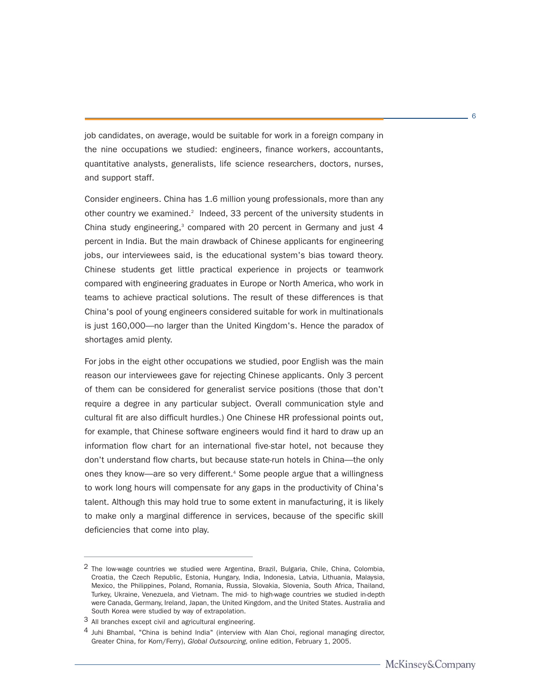job candidates, on average, would be suitable for work in a foreign company in the nine occupations we studied: engineers, finance workers, accountants, quantitative analysts, generalists, life science researchers, doctors, nurses, and support staff.

Consider engineers. China has 1.6 million young professionals, more than any other country we examined.<sup>2</sup> Indeed, 33 percent of the university students in China study engineering,<sup>3</sup> compared with 20 percent in Germany and just 4 percent in India. But the main drawback of Chinese applicants for engineering jobs, our interviewees said, is the educational system's bias toward theory. Chinese students get little practical experience in projects or teamwork compared with engineering graduates in Europe or North America, who work in teams to achieve practical solutions. The result of these differences is that China's pool of young engineers considered suitable for work in multinationals is just 160,000—no larger than the United Kingdom's. Hence the paradox of shortages amid plenty.

For jobs in the eight other occupations we studied, poor English was the main reason our interviewees gave for rejecting Chinese applicants. Only 3 percent of them can be considered for generalist service positions (those that don't require a degree in any particular subject. Overall communication style and cultural fit are also difficult hurdles.) One Chinese HR professional points out, for example, that Chinese software engineers would find it hard to draw up an information flow chart for an international five-star hotel, not because they don't understand flow charts, but because state-run hotels in China—the only ones they know—are so very different.<sup>4</sup> Some people argue that a willingness to work long hours will compensate for any gaps in the productivity of China's talent. Although this may hold true to some extent in manufacturing, it is likely to make only a marginal difference in services, because of the specific skill deficiencies that come into play.

<sup>&</sup>lt;sup>2</sup> The low-wage countries we studied were Argentina, Brazil, Bulgaria, Chile, China, Colombia, Croatia, the Czech Republic, Estonia, Hungary, India, Indonesia, Latvia, Lithuania, Malaysia, Mexico, the Philippines, Poland, Romania, Russia, Slovakia, Slovenia, South Africa, Thailand, Turkey, Ukraine, Venezuela, and Vietnam. The mid- to high-wage countries we studied in-depth were Canada, Germany, Ireland, Japan, the United Kingdom, and the United States. Australia and South Korea were studied by way of extrapolation.

<sup>3</sup> All branches except civil and agricultural engineering.

 $4$  Juhi Bhambal, "China is behind India" (interview with Alan Choi, regional managing director, Greater China, for Korn/Ferry), Global Outsourcing, online edition, February 1, 2005.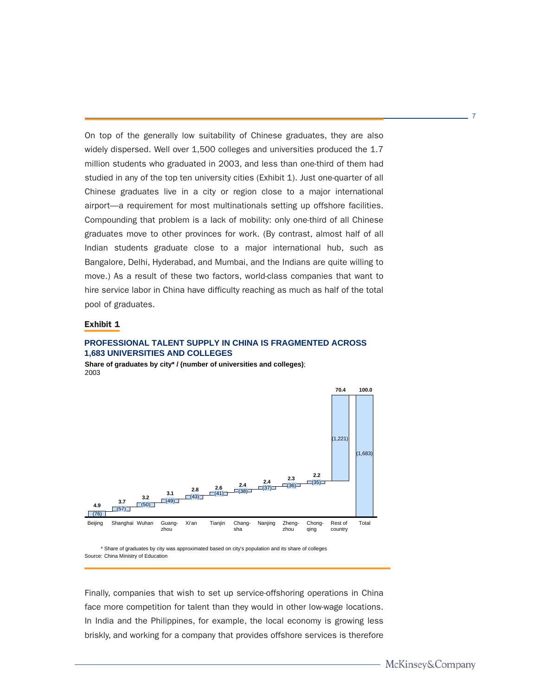On top of the generally low suitability of Chinese graduates, they are also widely dispersed. Well over 1,500 colleges and universities produced the 1.7 million students who graduated in 2003, and less than one-third of them had studied in any of the top ten university cities (Exhibit 1). Just one-quarter of all Chinese graduates live in a city or region close to a major international airport—a requirement for most multinationals setting up offshore facilities. Compounding that problem is a lack of mobility: only one-third of all Chinese graduates move to other provinces for work. (By contrast, almost half of all Indian students graduate close to a major international hub, such as Bangalore, Delhi, Hyderabad, and Mumbai, and the Indians are quite willing to move.) As a result of these two factors, world-class companies that want to hire service labor in China have difficulty reaching as much as half of the total pool of graduates.

#### Exhibit 1

#### **PROFESSIONAL TALENT SUPPLY IN CHINA IS FRAGMENTED ACROSS 1,683 UNIVERSITIES AND COLLEGES**

**Share of graduates by city\* / (number of universities and colleges)**; 2003



\* Share of graduates by city was approximated based on city's population and its share of colleges Source: China Ministry of Education

Finally, companies that wish to set up service-offshoring operations in China face more competition for talent than they would in other low-wage locations. In India and the Philippines, for example, the local economy is growing less briskly, and working for a company that provides offshore services is therefore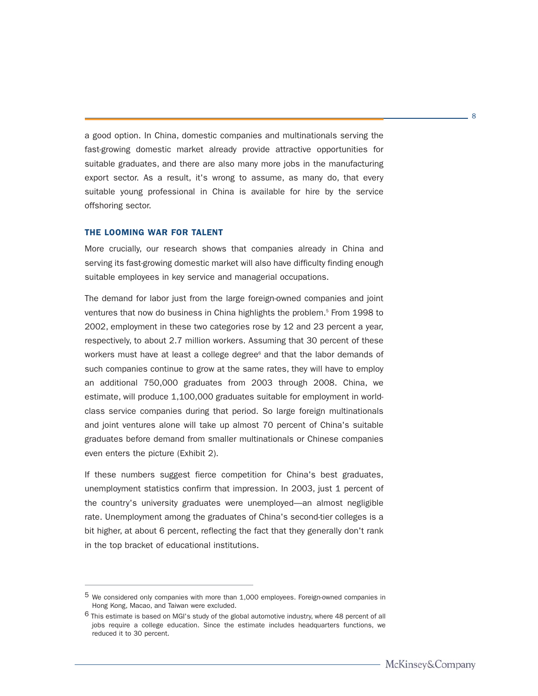a good option. In China, domestic companies and multinationals serving the fast-growing domestic market already provide attractive opportunities for suitable graduates, and there are also many more jobs in the manufacturing export sector. As a result, it's wrong to assume, as many do, that every suitable young professional in China is available for hire by the service offshoring sector.

#### THE LOOMING WAR FOR TALENT

More crucially, our research shows that companies already in China and serving its fast-growing domestic market will also have difficulty finding enough suitable employees in key service and managerial occupations.

The demand for labor just from the large foreign-owned companies and joint ventures that now do business in China highlights the problem.<sup>5</sup> From 1998 to 2002, employment in these two categories rose by 12 and 23 percent a year, respectively, to about 2.7 million workers. Assuming that 30 percent of these workers must have at least a college degree $<sup>6</sup>$  and that the labor demands of</sup> such companies continue to grow at the same rates, they will have to employ an additional 750,000 graduates from 2003 through 2008. China, we estimate, will produce 1,100,000 graduates suitable for employment in worldclass service companies during that period. So large foreign multinationals and joint ventures alone will take up almost 70 percent of China's suitable graduates before demand from smaller multinationals or Chinese companies even enters the picture (Exhibit 2).

If these numbers suggest fierce competition for China's best graduates, unemployment statistics confirm that impression. In 2003, just 1 percent of the country's university graduates were unemployed—an almost negligible rate. Unemployment among the graduates of China's second-tier colleges is a bit higher, at about 6 percent, reflecting the fact that they generally don't rank in the top bracket of educational institutions.

<sup>5</sup> We considered only companies with more than 1,000 employees. Foreign-owned companies in Hong Kong, Macao, and Taiwan were excluded.

<sup>6</sup> This estimate is based on MGI's study of the global automotive industry, where 48 percent of all jobs require a college education. Since the estimate includes headquarters functions, we reduced it to 30 percent.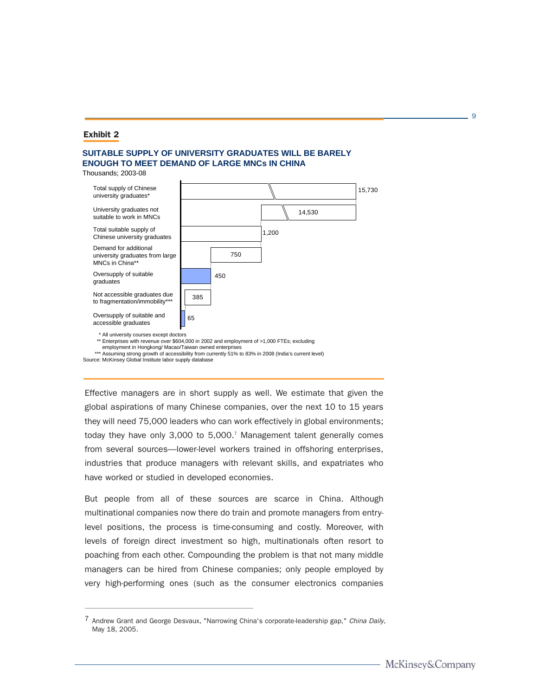#### Exhibit 2

#### **SUITABLE SUPPLY OF UNIVERSITY GRADUATES WILL BE BARELY ENOUGH TO MEET DEMAND OF LARGE MNCs IN CHINA**

Thousands; 2003-08



employment in Hongkong/ Macao/Taiwan owned enterprises \*\*\* Assuming strong growth of accessibility from currently 51% to 83% in 2008 (India's current level)

Source: McKinsey Global Institute labor supply database

Effective managers are in short supply as well. We estimate that given the global aspirations of many Chinese companies, over the next 10 to 15 years they will need 75,000 leaders who can work effectively in global environments; today they have only 3,000 to 5,000.<sup>7</sup> Management talent generally comes from several sources—lower-level workers trained in offshoring enterprises, industries that produce managers with relevant skills, and expatriates who have worked or studied in developed economies.

But people from all of these sources are scarce in China. Although multinational companies now there do train and promote managers from entrylevel positions, the process is time-consuming and costly. Moreover, with levels of foreign direct investment so high, multinationals often resort to poaching from each other. Compounding the problem is that not many middle managers can be hired from Chinese companies; only people employed by very high-performing ones (such as the consumer electronics companies

<sup>7</sup> Andrew Grant and George Desvaux, "Narrowing China's corporate-leadership gap," China Daily, May 18, 2005.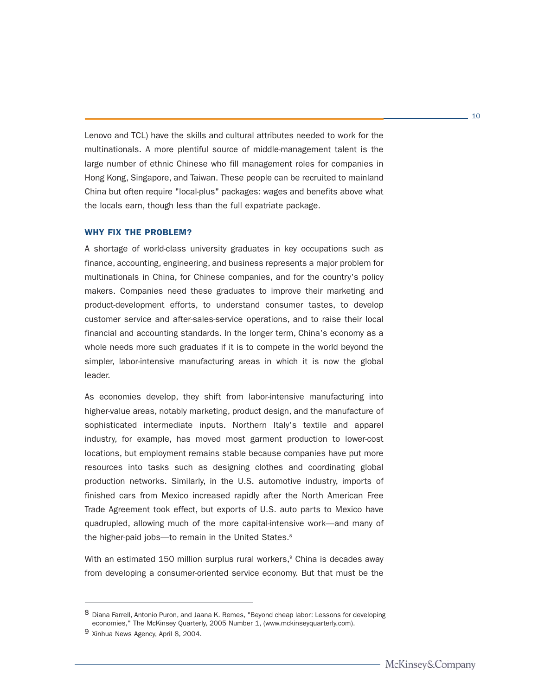Lenovo and TCL) have the skills and cultural attributes needed to work for the multinationals. A more plentiful source of middle-management talent is the large number of ethnic Chinese who fill management roles for companies in Hong Kong, Singapore, and Taiwan. These people can be recruited to mainland China but often require "local-plus" packages: wages and benefits above what the locals earn, though less than the full expatriate package.

#### WHY FIX THE PROBLEM?

A shortage of world-class university graduates in key occupations such as finance, accounting, engineering, and business represents a major problem for multinationals in China, for Chinese companies, and for the country's policy makers. Companies need these graduates to improve their marketing and product-development efforts, to understand consumer tastes, to develop customer service and after-sales-service operations, and to raise their local financial and accounting standards. In the longer term, China's economy as a whole needs more such graduates if it is to compete in the world beyond the simpler, labor-intensive manufacturing areas in which it is now the global leader.

As economies develop, they shift from labor-intensive manufacturing into higher-value areas, notably marketing, product design, and the manufacture of sophisticated intermediate inputs. Northern Italy's textile and apparel industry, for example, has moved most garment production to lower-cost locations, but employment remains stable because companies have put more resources into tasks such as designing clothes and coordinating global production networks. Similarly, in the U.S. automotive industry, imports of finished cars from Mexico increased rapidly after the North American Free Trade Agreement took effect, but exports of U.S. auto parts to Mexico have quadrupled, allowing much of the more capital-intensive work—and many of the higher-paid jobs—to remain in the United States.<sup>8</sup>

With an estimated 150 million surplus rural workers, $\degree$  China is decades away from developing a consumer-oriented service economy. But that must be the

<sup>8</sup> Diana Farrell, Antonio Puron, and Jaana K. Remes, "Beyond cheap labor: Lessons for developing economies," The McKinsey Quarterly, 2005 Number 1, (www.mckinseyquarterly.com).

<sup>9</sup> Xinhua News Agency, April 8, 2004.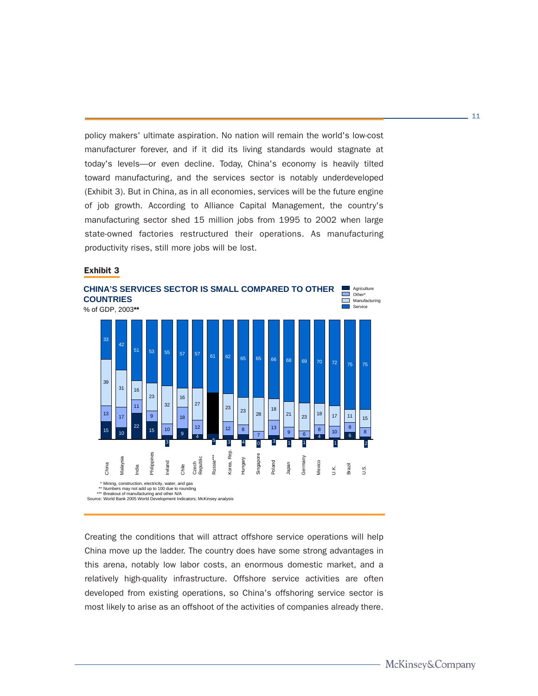policy makers' ultimate aspiration. No nation will remain the world's low-cost manufacturer forever, and if it did its living standards would stagnate at today's levels—or even decline. Today, China's economy is heavily tilted toward manufacturing, and the services sector is notably underdeveloped (Exhibit 3). But in China, as in all economies, services will be the future engine of job growth. According to Alliance Capital Management, the country's manufacturing sector shed 15 million jobs from 1995 to 2002 when large state-owned factories restructured their operations. As manufacturing productivity rises, still more jobs will be lost.

#### Exhibit 3



Creating the conditions that will attract offshore service operations will help China move up the ladder. The country does have some strong advantages in this arena, notably low labor costs, an enormous domestic market, and a relatively high-quality infrastructure. Offshore service activities are often developed from existing operations, so China's offshoring service sector is most likely to arise as an offshoot of the activities of companies already there.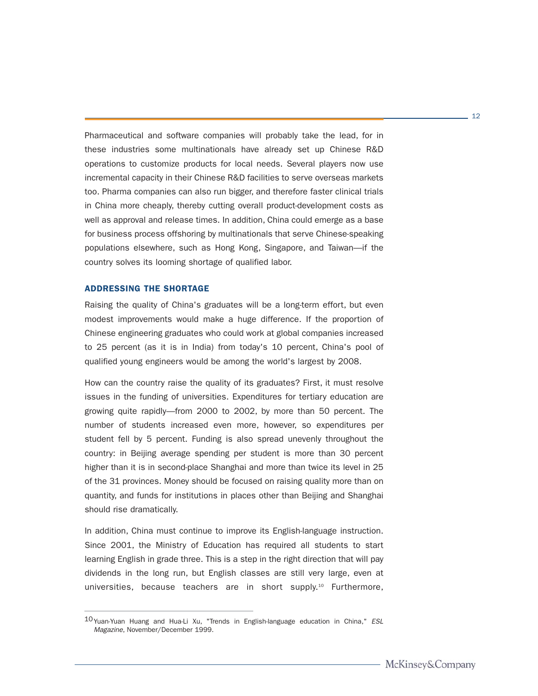Pharmaceutical and software companies will probably take the lead, for in these industries some multinationals have already set up Chinese R&D operations to customize products for local needs. Several players now use incremental capacity in their Chinese R&D facilities to serve overseas markets too. Pharma companies can also run bigger, and therefore faster clinical trials in China more cheaply, thereby cutting overall product-development costs as well as approval and release times. In addition, China could emerge as a base for business process offshoring by multinationals that serve Chinese-speaking populations elsewhere, such as Hong Kong, Singapore, and Taiwan—if the country solves its looming shortage of qualified labor.

#### ADDRESSING THE SHORTAGE

Raising the quality of China's graduates will be a long-term effort, but even modest improvements would make a huge difference. If the proportion of Chinese engineering graduates who could work at global companies increased to 25 percent (as it is in India) from today's 10 percent, China's pool of qualified young engineers would be among the world's largest by 2008.

How can the country raise the quality of its graduates? First, it must resolve issues in the funding of universities. Expenditures for tertiary education are growing quite rapidly—from 2000 to 2002, by more than 50 percent. The number of students increased even more, however, so expenditures per student fell by 5 percent. Funding is also spread unevenly throughout the country: in Beijing average spending per student is more than 30 percent higher than it is in second-place Shanghai and more than twice its level in 25 of the 31 provinces. Money should be focused on raising quality more than on quantity, and funds for institutions in places other than Beijing and Shanghai should rise dramatically.

In addition, China must continue to improve its English-language instruction. Since 2001, the Ministry of Education has required all students to start learning English in grade three. This is a step in the right direction that will pay dividends in the long run, but English classes are still very large, even at universities, because teachers are in short supply.<sup>10</sup> Furthermore,

<sup>10</sup>Yuan-Yuan Huang and Hua-Li Xu, "Trends in English-language education in China," ESL Magazine, November/December 1999.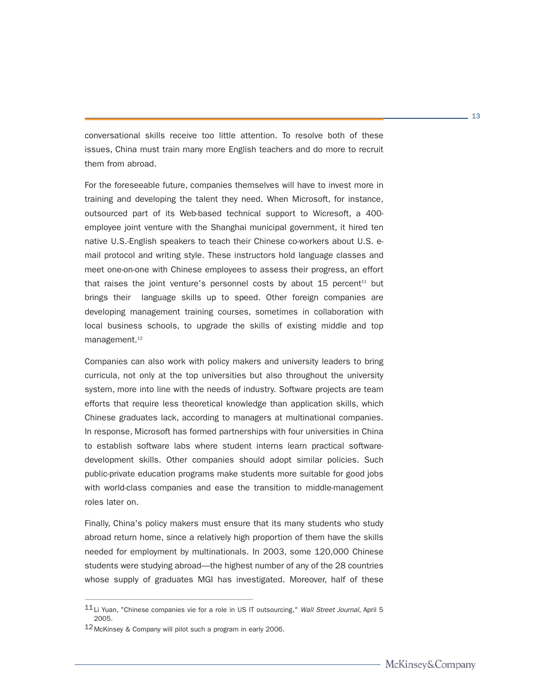conversational skills receive too little attention. To resolve both of these issues, China must train many more English teachers and do more to recruit them from abroad.

For the foreseeable future, companies themselves will have to invest more in training and developing the talent they need. When Microsoft, for instance, outsourced part of its Web-based technical support to Wicresoft, a 400 employee joint venture with the Shanghai municipal government, it hired ten native U.S.-English speakers to teach their Chinese co-workers about U.S. email protocol and writing style. These instructors hold language classes and meet one-on-one with Chinese employees to assess their progress, an effort that raises the joint venture's personnel costs by about  $15$  percent<sup>11</sup> but brings their language skills up to speed. Other foreign companies are developing management training courses, sometimes in collaboration with local business schools, to upgrade the skills of existing middle and top management.<sup>12</sup>

Companies can also work with policy makers and university leaders to bring curricula, not only at the top universities but also throughout the university system, more into line with the needs of industry. Software projects are team efforts that require less theoretical knowledge than application skills, which Chinese graduates lack, according to managers at multinational companies. In response, Microsoft has formed partnerships with four universities in China to establish software labs where student interns learn practical softwaredevelopment skills. Other companies should adopt similar policies. Such public-private education programs make students more suitable for good jobs with world-class companies and ease the transition to middle-management roles later on.

Finally, China's policy makers must ensure that its many students who study abroad return home, since a relatively high proportion of them have the skills needed for employment by multinationals. In 2003, some 120,000 Chinese students were studying abroad—the highest number of any of the 28 countries whose supply of graduates MGI has investigated. Moreover, half of these

<sup>11</sup>Li Yuan, "Chinese companies vie for a role in US IT outsourcing," Wall Street Journal, April 5 2005.

<sup>12</sup>McKinsey & Company will pilot such a program in early 2006.